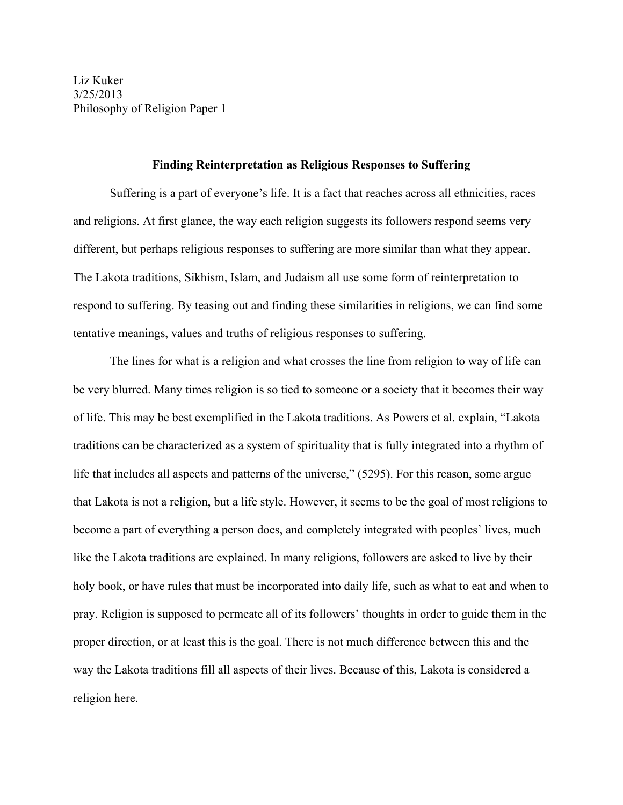## **Finding Reinterpretation as Religious Responses to Suffering**

Suffering is a part of everyone's life. It is a fact that reaches across all ethnicities, races and religions. At first glance, the way each religion suggests its followers respond seems very different, but perhaps religious responses to suffering are more similar than what they appear. The Lakota traditions, Sikhism, Islam, and Judaism all use some form of reinterpretation to respond to suffering. By teasing out and finding these similarities in religions, we can find some tentative meanings, values and truths of religious responses to suffering.

The lines for what is a religion and what crosses the line from religion to way of life can be very blurred. Many times religion is so tied to someone or a society that it becomes their way of life. This may be best exemplified in the Lakota traditions. As Powers et al. explain, "Lakota traditions can be characterized as a system of spirituality that is fully integrated into a rhythm of life that includes all aspects and patterns of the universe," (5295). For this reason, some argue that Lakota is not a religion, but a life style. However, it seems to be the goal of most religions to become a part of everything a person does, and completely integrated with peoples' lives, much like the Lakota traditions are explained. In many religions, followers are asked to live by their holy book, or have rules that must be incorporated into daily life, such as what to eat and when to pray. Religion is supposed to permeate all of its followers' thoughts in order to guide them in the proper direction, or at least this is the goal. There is not much difference between this and the way the Lakota traditions fill all aspects of their lives. Because of this, Lakota is considered a religion here.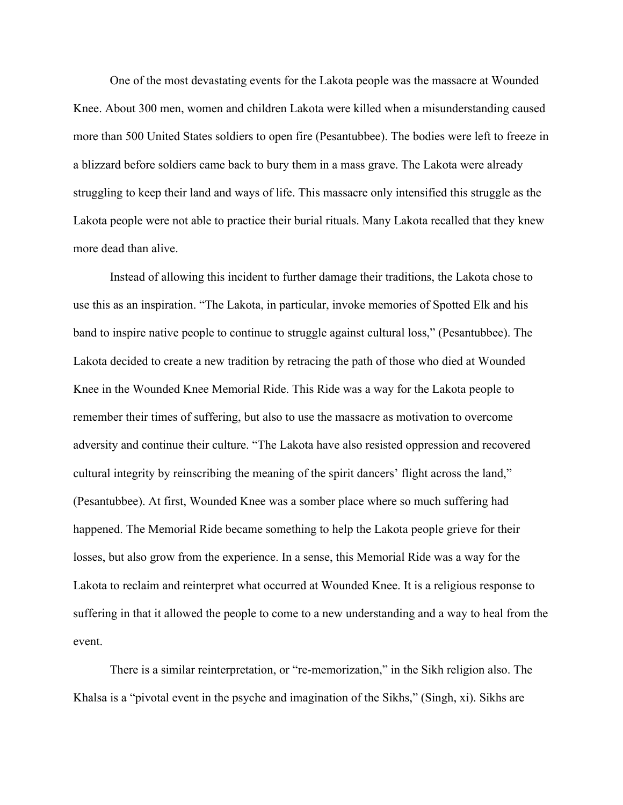One of the most devastating events for the Lakota people was the massacre at Wounded Knee. About 300 men, women and children Lakota were killed when a misunderstanding caused more than 500 United States soldiers to open fire (Pesantubbee). The bodies were left to freeze in a blizzard before soldiers came back to bury them in a mass grave. The Lakota were already struggling to keep their land and ways of life. This massacre only intensified this struggle as the Lakota people were not able to practice their burial rituals. Many Lakota recalled that they knew more dead than alive.

Instead of allowing this incident to further damage their traditions, the Lakota chose to use this as an inspiration. "The Lakota, in particular, invoke memories of Spotted Elk and his band to inspire native people to continue to struggle against cultural loss," (Pesantubbee). The Lakota decided to create a new tradition by retracing the path of those who died at Wounded Knee in the Wounded Knee Memorial Ride. This Ride was a way for the Lakota people to remember their times of suffering, but also to use the massacre as motivation to overcome adversity and continue their culture. "The Lakota have also resisted oppression and recovered cultural integrity by reinscribing the meaning of the spirit dancers' flight across the land," (Pesantubbee). At first, Wounded Knee was a somber place where so much suffering had happened. The Memorial Ride became something to help the Lakota people grieve for their losses, but also grow from the experience. In a sense, this Memorial Ride was a way for the Lakota to reclaim and reinterpret what occurred at Wounded Knee. It is a religious response to suffering in that it allowed the people to come to a new understanding and a way to heal from the event.

There is a similar reinterpretation, or "re-memorization," in the Sikh religion also. The Khalsa is a "pivotal event in the psyche and imagination of the Sikhs," (Singh, xi). Sikhs are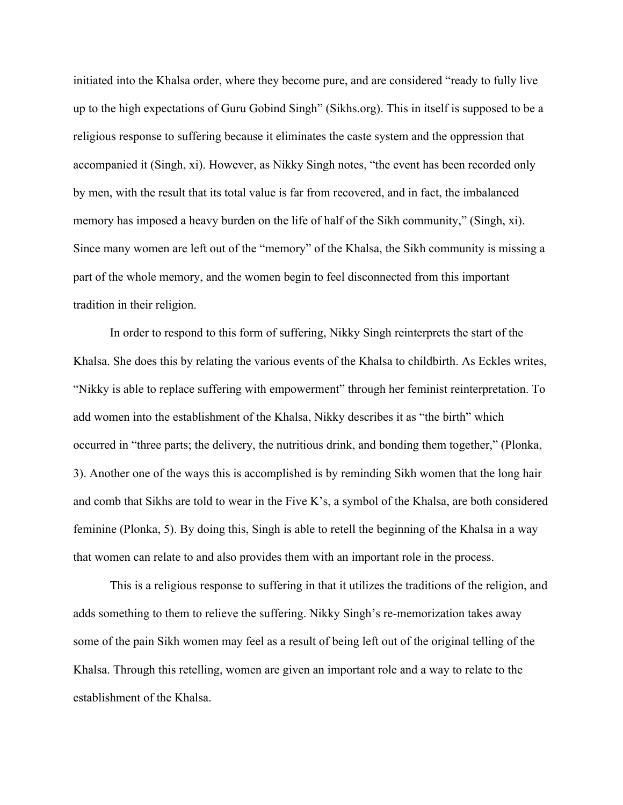initiated into the Khalsa order, where they become pure, and are considered "ready to fully live up to the high expectations of Guru Gobind Singh" (Sikhs.org). This in itself is supposed to be a religious response to suffering because it eliminates the caste system and the oppression that accompanied it (Singh, xi). However, as Nikky Singh notes, "the event has been recorded only by men, with the result that its total value is far from recovered, and in fact, the imbalanced memory has imposed a heavy burden on the life of half of the Sikh community," (Singh, xi). Since many women are left out of the "memory" of the Khalsa, the Sikh community is missing a part of the whole memory, and the women begin to feel disconnected from this important tradition in their religion.

In order to respond to this form of suffering, Nikky Singh reinterprets the start of the Khalsa. She does this by relating the various events of the Khalsa to childbirth. As Eckles writes, "Nikky is able to replace suffering with empowerment" through her feminist reinterpretation. To add women into the establishment of the Khalsa, Nikky describes it as "the birth" which occurred in "three parts; the delivery, the nutritious drink, and bonding them together," (Plonka, 3). Another one of the ways this is accomplished is by reminding Sikh women that the long hair and comb that Sikhs are told to wear in the Five K's, a symbol of the Khalsa, are both considered feminine (Plonka, 5). By doing this, Singh is able to retell the beginning of the Khalsa in a way that women can relate to and also provides them with an important role in the process.

This is a religious response to suffering in that it utilizes the traditions of the religion, and adds something to them to relieve the suffering. Nikky Singh's re-memorization takes away some of the pain Sikh women may feel as a result of being left out of the original telling of the Khalsa. Through this retelling, women are given an important role and a way to relate to the establishment of the Khalsa.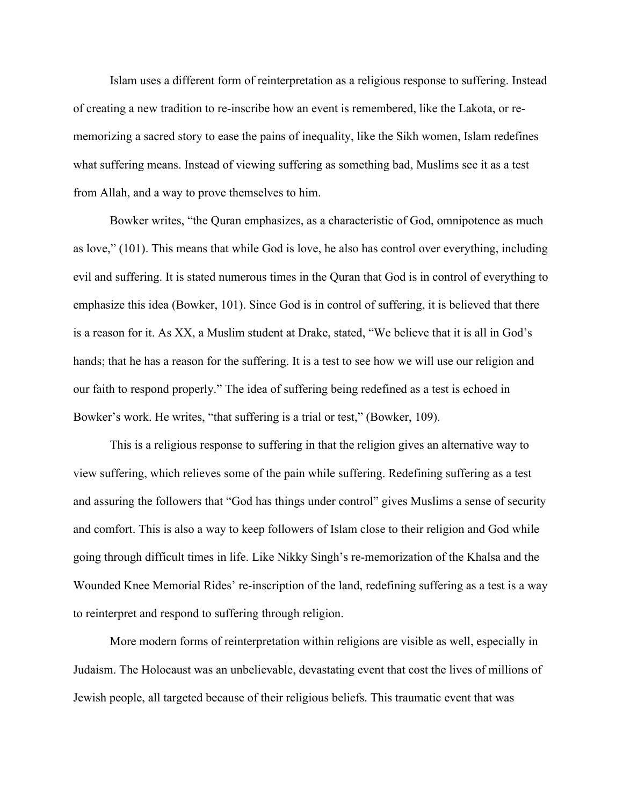Islam uses a different form of reinterpretation as a religious response to suffering. Instead of creating a new tradition to re-inscribe how an event is remembered, like the Lakota, or rememorizing a sacred story to ease the pains of inequality, like the Sikh women, Islam redefines what suffering means. Instead of viewing suffering as something bad, Muslims see it as a test from Allah, and a way to prove themselves to him.

Bowker writes, "the Quran emphasizes, as a characteristic of God, omnipotence as much as love," (101). This means that while God is love, he also has control over everything, including evil and suffering. It is stated numerous times in the Quran that God is in control of everything to emphasize this idea (Bowker, 101). Since God is in control of suffering, it is believed that there is a reason for it. As XX, a Muslim student at Drake, stated, "We believe that it is all in God's hands; that he has a reason for the suffering. It is a test to see how we will use our religion and our faith to respond properly." The idea of suffering being redefined as a test is echoed in Bowker's work. He writes, "that suffering is a trial or test," (Bowker, 109).

This is a religious response to suffering in that the religion gives an alternative way to view suffering, which relieves some of the pain while suffering. Redefining suffering as a test and assuring the followers that "God has things under control" gives Muslims a sense of security and comfort. This is also a way to keep followers of Islam close to their religion and God while going through difficult times in life. Like Nikky Singh's re-memorization of the Khalsa and the Wounded Knee Memorial Rides' re-inscription of the land, redefining suffering as a test is a way to reinterpret and respond to suffering through religion.

More modern forms of reinterpretation within religions are visible as well, especially in Judaism. The Holocaust was an unbelievable, devastating event that cost the lives of millions of Jewish people, all targeted because of their religious beliefs. This traumatic event that was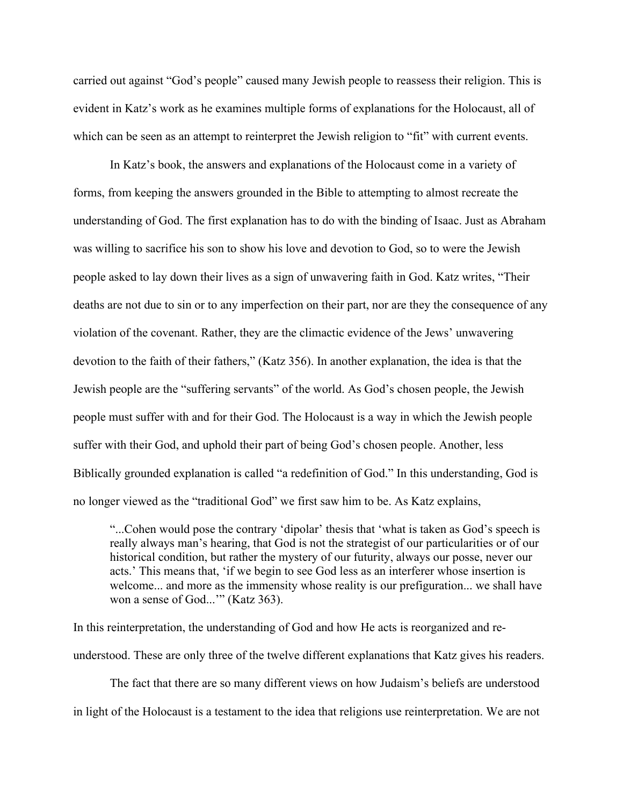carried out against "God's people" caused many Jewish people to reassess their religion. This is evident in Katz's work as he examines multiple forms of explanations for the Holocaust, all of which can be seen as an attempt to reinterpret the Jewish religion to "fit" with current events.

In Katz's book, the answers and explanations of the Holocaust come in a variety of forms, from keeping the answers grounded in the Bible to attempting to almost recreate the understanding of God. The first explanation has to do with the binding of Isaac. Just as Abraham was willing to sacrifice his son to show his love and devotion to God, so to were the Jewish people asked to lay down their lives as a sign of unwavering faith in God. Katz writes, "Their deaths are not due to sin or to any imperfection on their part, nor are they the consequence of any violation of the covenant. Rather, they are the climactic evidence of the Jews' unwavering devotion to the faith of their fathers," (Katz 356). In another explanation, the idea is that the Jewish people are the "suffering servants" of the world. As God's chosen people, the Jewish people must suffer with and for their God. The Holocaust is a way in which the Jewish people suffer with their God, and uphold their part of being God's chosen people. Another, less Biblically grounded explanation is called "a redefinition of God." In this understanding, God is no longer viewed as the "traditional God" we first saw him to be. As Katz explains,

"...Cohen would pose the contrary 'dipolar' thesis that 'what is taken as God's speech is really always man's hearing, that God is not the strategist of our particularities or of our historical condition, but rather the mystery of our futurity, always our posse, never our acts.' This means that, 'if we begin to see God less as an interferer whose insertion is welcome... and more as the immensity whose reality is our prefiguration... we shall have won a sense of God...'" (Katz 363).

In this reinterpretation, the understanding of God and how He acts is reorganized and reunderstood. These are only three of the twelve different explanations that Katz gives his readers.

The fact that there are so many different views on how Judaism's beliefs are understood in light of the Holocaust is a testament to the idea that religions use reinterpretation. We are not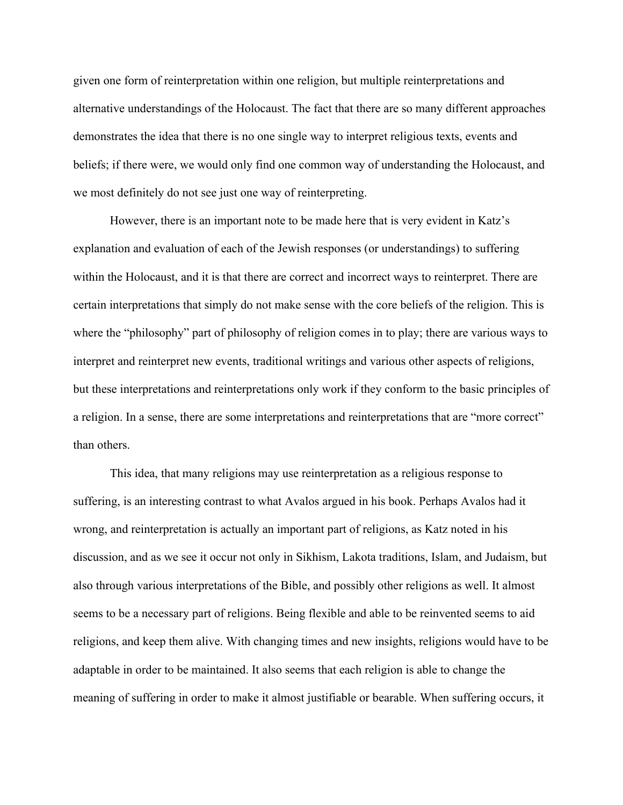given one form of reinterpretation within one religion, but multiple reinterpretations and alternative understandings of the Holocaust. The fact that there are so many different approaches demonstrates the idea that there is no one single way to interpret religious texts, events and beliefs; if there were, we would only find one common way of understanding the Holocaust, and we most definitely do not see just one way of reinterpreting.

However, there is an important note to be made here that is very evident in Katz's explanation and evaluation of each of the Jewish responses (or understandings) to suffering within the Holocaust, and it is that there are correct and incorrect ways to reinterpret. There are certain interpretations that simply do not make sense with the core beliefs of the religion. This is where the "philosophy" part of philosophy of religion comes in to play; there are various ways to interpret and reinterpret new events, traditional writings and various other aspects of religions, but these interpretations and reinterpretations only work if they conform to the basic principles of a religion. In a sense, there are some interpretations and reinterpretations that are "more correct" than others.

This idea, that many religions may use reinterpretation as a religious response to suffering, is an interesting contrast to what Avalos argued in his book. Perhaps Avalos had it wrong, and reinterpretation is actually an important part of religions, as Katz noted in his discussion, and as we see it occur not only in Sikhism, Lakota traditions, Islam, and Judaism, but also through various interpretations of the Bible, and possibly other religions as well. It almost seems to be a necessary part of religions. Being flexible and able to be reinvented seems to aid religions, and keep them alive. With changing times and new insights, religions would have to be adaptable in order to be maintained. It also seems that each religion is able to change the meaning of suffering in order to make it almost justifiable or bearable. When suffering occurs, it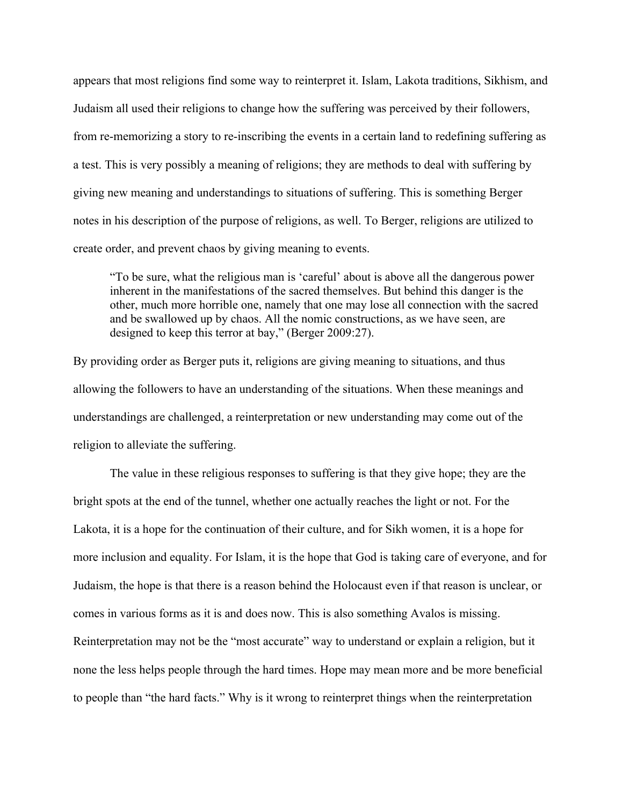appears that most religions find some way to reinterpret it. Islam, Lakota traditions, Sikhism, and Judaism all used their religions to change how the suffering was perceived by their followers, from re-memorizing a story to re-inscribing the events in a certain land to redefining suffering as a test. This is very possibly a meaning of religions; they are methods to deal with suffering by giving new meaning and understandings to situations of suffering. This is something Berger notes in his description of the purpose of religions, as well. To Berger, religions are utilized to create order, and prevent chaos by giving meaning to events.

"To be sure, what the religious man is 'careful' about is above all the dangerous power inherent in the manifestations of the sacred themselves. But behind this danger is the other, much more horrible one, namely that one may lose all connection with the sacred and be swallowed up by chaos. All the nomic constructions, as we have seen, are designed to keep this terror at bay," (Berger 2009:27).

By providing order as Berger puts it, religions are giving meaning to situations, and thus allowing the followers to have an understanding of the situations. When these meanings and understandings are challenged, a reinterpretation or new understanding may come out of the religion to alleviate the suffering.

The value in these religious responses to suffering is that they give hope; they are the bright spots at the end of the tunnel, whether one actually reaches the light or not. For the Lakota, it is a hope for the continuation of their culture, and for Sikh women, it is a hope for more inclusion and equality. For Islam, it is the hope that God is taking care of everyone, and for Judaism, the hope is that there is a reason behind the Holocaust even if that reason is unclear, or comes in various forms as it is and does now. This is also something Avalos is missing. Reinterpretation may not be the "most accurate" way to understand or explain a religion, but it none the less helps people through the hard times. Hope may mean more and be more beneficial to people than "the hard facts." Why is it wrong to reinterpret things when the reinterpretation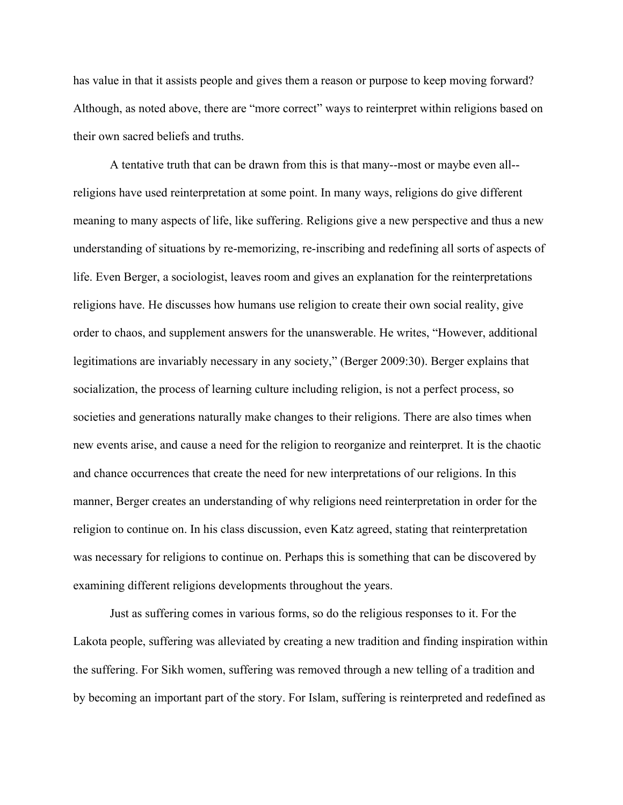has value in that it assists people and gives them a reason or purpose to keep moving forward? Although, as noted above, there are "more correct" ways to reinterpret within religions based on their own sacred beliefs and truths.

A tentative truth that can be drawn from this is that many--most or maybe even all- religions have used reinterpretation at some point. In many ways, religions do give different meaning to many aspects of life, like suffering. Religions give a new perspective and thus a new understanding of situations by re-memorizing, re-inscribing and redefining all sorts of aspects of life. Even Berger, a sociologist, leaves room and gives an explanation for the reinterpretations religions have. He discusses how humans use religion to create their own social reality, give order to chaos, and supplement answers for the unanswerable. He writes, "However, additional legitimations are invariably necessary in any society," (Berger 2009:30). Berger explains that socialization, the process of learning culture including religion, is not a perfect process, so societies and generations naturally make changes to their religions. There are also times when new events arise, and cause a need for the religion to reorganize and reinterpret. It is the chaotic and chance occurrences that create the need for new interpretations of our religions. In this manner, Berger creates an understanding of why religions need reinterpretation in order for the religion to continue on. In his class discussion, even Katz agreed, stating that reinterpretation was necessary for religions to continue on. Perhaps this is something that can be discovered by examining different religions developments throughout the years.

Just as suffering comes in various forms, so do the religious responses to it. For the Lakota people, suffering was alleviated by creating a new tradition and finding inspiration within the suffering. For Sikh women, suffering was removed through a new telling of a tradition and by becoming an important part of the story. For Islam, suffering is reinterpreted and redefined as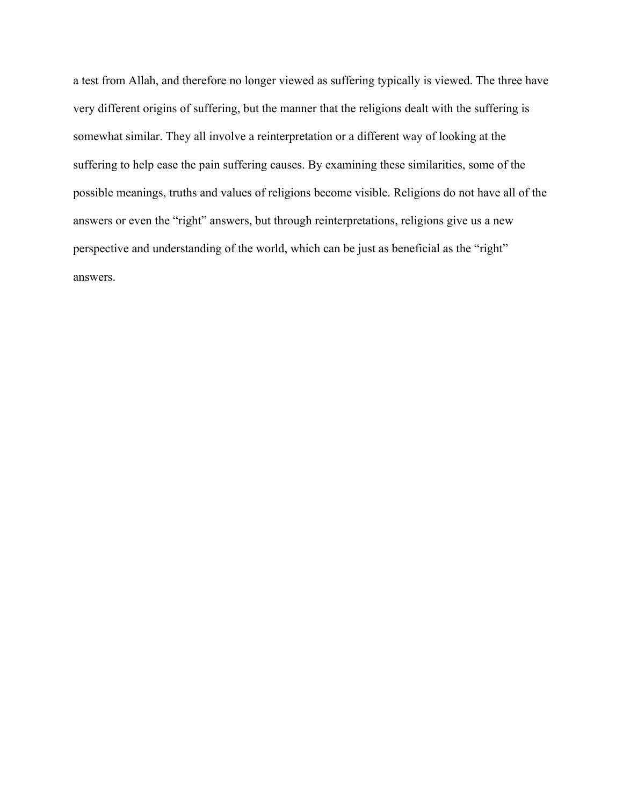a test from Allah, and therefore no longer viewed as suffering typically is viewed. The three have very different origins of suffering, but the manner that the religions dealt with the suffering is somewhat similar. They all involve a reinterpretation or a different way of looking at the suffering to help ease the pain suffering causes. By examining these similarities, some of the possible meanings, truths and values of religions become visible. Religions do not have all of the answers or even the "right" answers, but through reinterpretations, religions give us a new perspective and understanding of the world, which can be just as beneficial as the "right" answers.